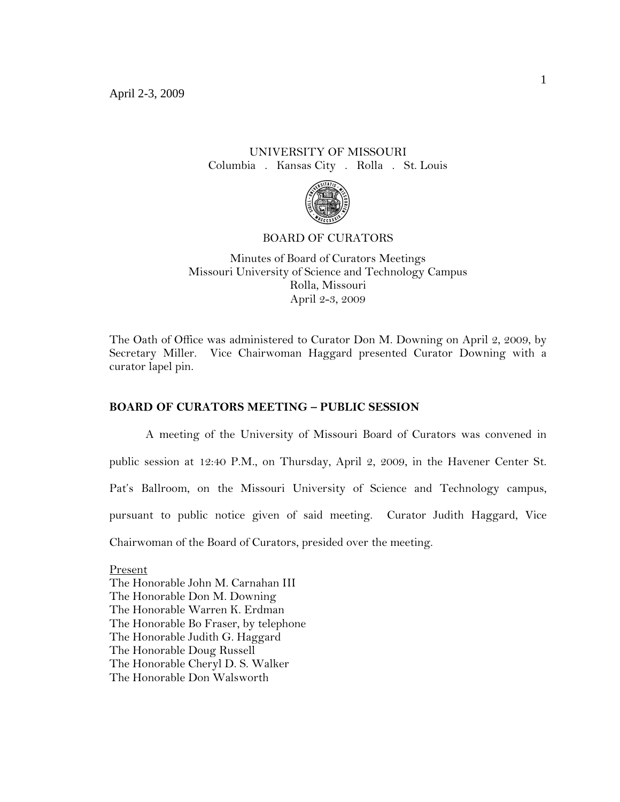# UNIVERSITY OF MISSOURI Columbia . Kansas City . Rolla . St. Louis



#### BOARD OF CURATORS

Minutes of Board of Curators Meetings Missouri University of Science and Technology Campus Rolla, Missouri April 2-3, 2009

The Oath of Office was administered to Curator Don M. Downing on April 2, 2009, by Secretary Miller. Vice Chairwoman Haggard presented Curator Downing with a curator lapel pin.

## **BOARD OF CURATORS MEETING – PUBLIC SESSION**

A meeting of the University of Missouri Board of Curators was convened in public session at 12:40 P.M., on Thursday, April 2, 2009, in the Havener Center St. Pat's Ballroom, on the Missouri University of Science and Technology campus, pursuant to public notice given of said meeting. Curator Judith Haggard, Vice Chairwoman of the Board of Curators, presided over the meeting.

Present The Honorable John M. Carnahan III The Honorable Don M. Downing The Honorable Warren K. Erdman The Honorable Bo Fraser, by telephone The Honorable Judith G. Haggard The Honorable Doug Russell The Honorable Cheryl D. S. Walker The Honorable Don Walsworth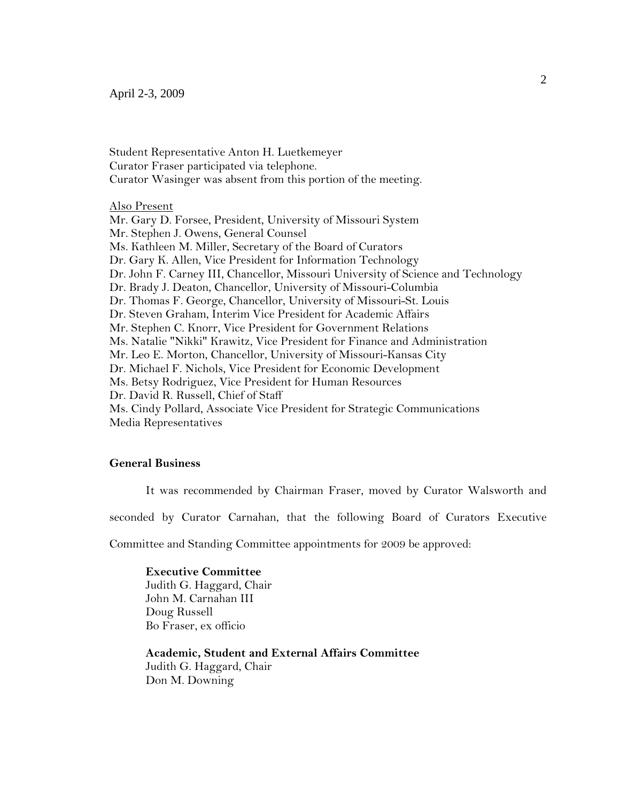## April 2-3, 2009

Student Representative Anton H. Luetkemeyer Curator Fraser participated via telephone. Curator Wasinger was absent from this portion of the meeting.

## Also Present

Mr. Gary D. Forsee, President, University of Missouri System Mr. Stephen J. Owens, General Counsel Ms. Kathleen M. Miller, Secretary of the Board of Curators Dr. Gary K. Allen, Vice President for Information Technology Dr. John F. Carney III, Chancellor, Missouri University of Science and Technology Dr. Brady J. Deaton, Chancellor, University of Missouri-Columbia Dr. Thomas F. George, Chancellor, University of Missouri-St. Louis Dr. Steven Graham, Interim Vice President for Academic Affairs Mr. Stephen C. Knorr, Vice President for Government Relations Ms. Natalie "Nikki" Krawitz, Vice President for Finance and Administration Mr. Leo E. Morton, Chancellor, University of Missouri-Kansas City Dr. Michael F. Nichols, Vice President for Economic Development Ms. Betsy Rodriguez, Vice President for Human Resources Dr. David R. Russell, Chief of Staff Ms. Cindy Pollard, Associate Vice President for Strategic Communications Media Representatives

## **General Business**

It was recommended by Chairman Fraser, moved by Curator Walsworth and

seconded by Curator Carnahan, that the following Board of Curators Executive

Committee and Standing Committee appointments for 2009 be approved:

#### **Executive Committee**  Judith G. Haggard, Chair

John M. Carnahan III Doug Russell Bo Fraser, ex officio

**Academic, Student and External Affairs Committee** Judith G. Haggard, Chair Don M. Downing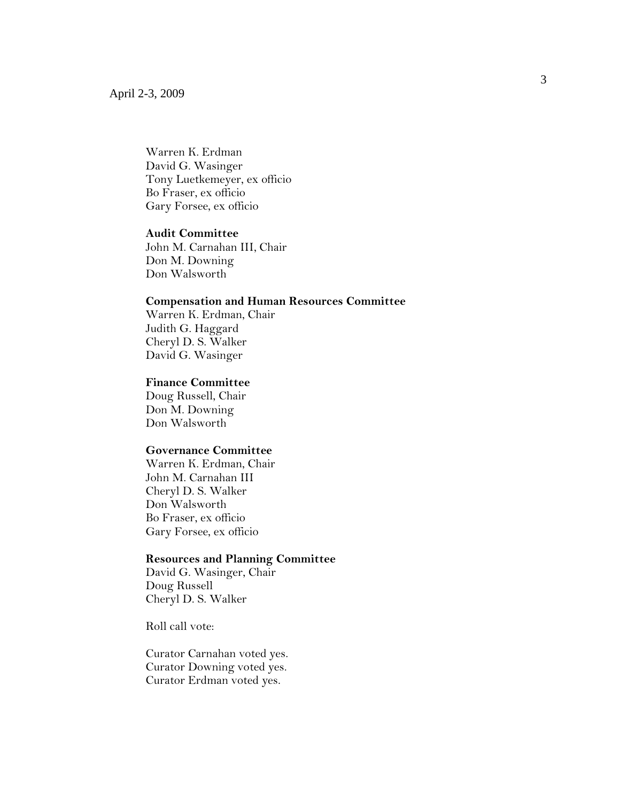Warren K. Erdman David G. Wasinger Tony Luetkemeyer, ex officio Bo Fraser, ex officio Gary Forsee, ex officio

## **Audit Committee**

John M. Carnahan III, Chair Don M. Downing Don Walsworth

## **Compensation and Human Resources Committee**

Warren K. Erdman, Chair Judith G. Haggard Cheryl D. S. Walker David G. Wasinger

### **Finance Committee**

Doug Russell, Chair Don M. Downing Don Walsworth

## **Governance Committee**

Warren K. Erdman, Chair John M. Carnahan III Cheryl D. S. Walker Don Walsworth Bo Fraser, ex officio Gary Forsee, ex officio

#### **Resources and Planning Committee**

David G. Wasinger, Chair Doug Russell Cheryl D. S. Walker

Roll call vote:

Curator Carnahan voted yes. Curator Downing voted yes. Curator Erdman voted yes.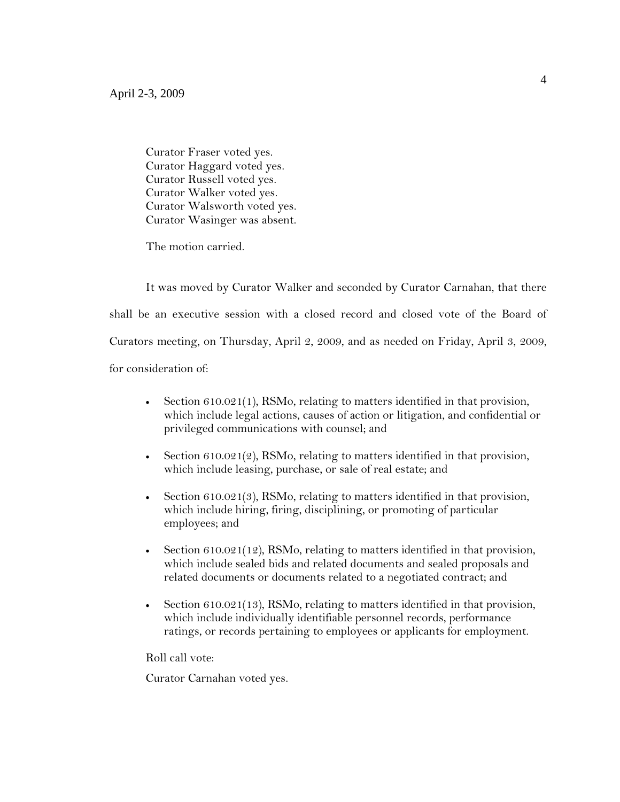Curator Fraser voted yes. Curator Haggard voted yes. Curator Russell voted yes. Curator Walker voted yes. Curator Walsworth voted yes. Curator Wasinger was absent.

The motion carried.

It was moved by Curator Walker and seconded by Curator Carnahan, that there shall be an executive session with a closed record and closed vote of the Board of Curators meeting, on Thursday, April 2, 2009, and as needed on Friday, April 3, 2009, for consideration of:

- Section  $610.021(1)$ , RSMo, relating to matters identified in that provision, which include legal actions, causes of action or litigation, and confidential or privileged communications with counsel; and
- Section  $610.021(2)$ , RSMo, relating to matters identified in that provision, which include leasing, purchase, or sale of real estate; and
- Section 610.021(3), RSMo, relating to matters identified in that provision, which include hiring, firing, disciplining, or promoting of particular employees; and
- Section 610.021(12), RSMo, relating to matters identified in that provision, which include sealed bids and related documents and sealed proposals and related documents or documents related to a negotiated contract; and
- Section 610.021(13), RSMo, relating to matters identified in that provision, which include individually identifiable personnel records, performance ratings, or records pertaining to employees or applicants for employment.

Roll call vote:

Curator Carnahan voted yes.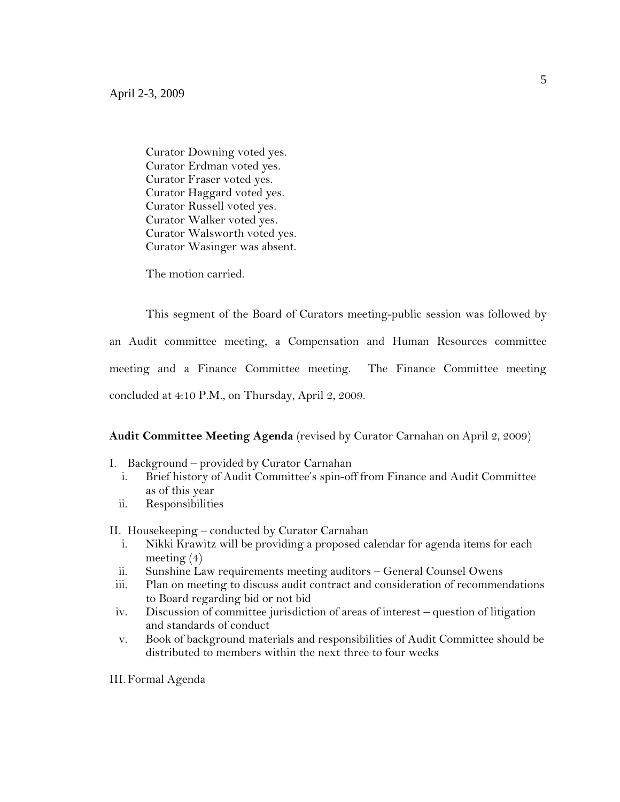Curator Downing voted yes. Curator Erdman voted yes. Curator Fraser voted yes. Curator Haggard voted yes. Curator Russell voted yes. Curator Walker voted yes. Curator Walsworth voted yes. Curator Wasinger was absent.

The motion carried.

This segment of the Board of Curators meeting-public session was followed by an Audit committee meeting, a Compensation and Human Resources committee meeting and a Finance Committee meeting. The Finance Committee meeting concluded at 4:10 P.M., on Thursday, April 2, 2009.

### **Audit Committee Meeting Agenda** (revised by Curator Carnahan on April 2, 2009)

- I. Background provided by Curator Carnahan
	- i. Brief history of Audit Committee's spin-off from Finance and Audit Committee as of this year
	- ii. Responsibilities

II. Housekeeping – conducted by Curator Carnahan

- i. Nikki Krawitz will be providing a proposed calendar for agenda items for each meeting (4)
- ii. Sunshine Law requirements meeting auditors General Counsel Owens
- iii. Plan on meeting to discuss audit contract and consideration of recommendations to Board regarding bid or not bid
- iv. Discussion of committee jurisdiction of areas of interest question of litigation and standards of conduct
- v. Book of background materials and responsibilities of Audit Committee should be distributed to members within the next three to four weeks

III.Formal Agenda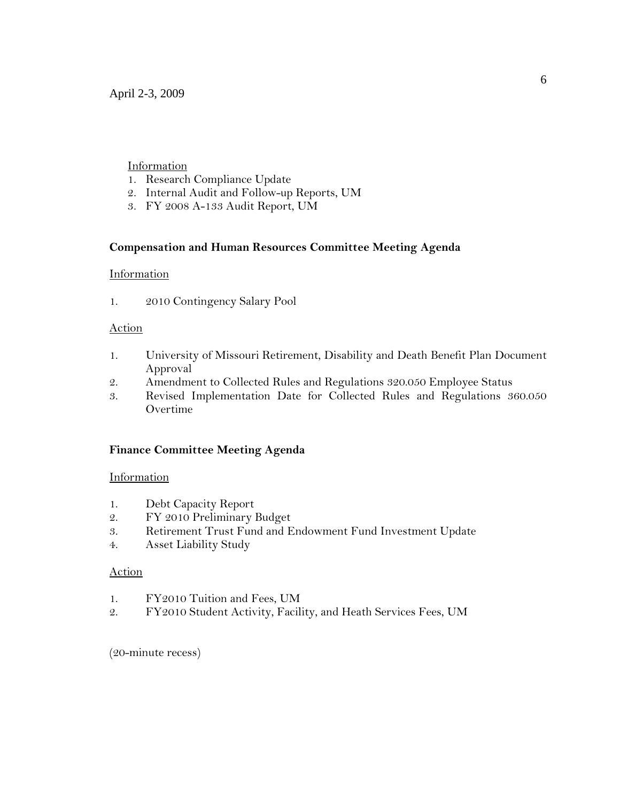# **Information**

- 1. Research Compliance Update
- 2. Internal Audit and Follow-up Reports, UM
- 3. FY 2008 A-133 Audit Report, UM

# **Compensation and Human Resources Committee Meeting Agenda**

## Information

1. 2010 Contingency Salary Pool

# Action

- 1. University of Missouri Retirement, Disability and Death Benefit Plan Document Approval
- 2. Amendment to Collected Rules and Regulations 320.050 Employee Status
- 3. Revised Implementation Date for Collected Rules and Regulations 360.050 Overtime

# **Finance Committee Meeting Agenda**

# Information

- 1. Debt Capacity Report
- 2. FY 2010 Preliminary Budget
- 3. Retirement Trust Fund and Endowment Fund Investment Update
- 4. Asset Liability Study

## Action

- 1. FY2010 Tuition and Fees, UM
- 2. FY2010 Student Activity, Facility, and Heath Services Fees, UM

(20-minute recess)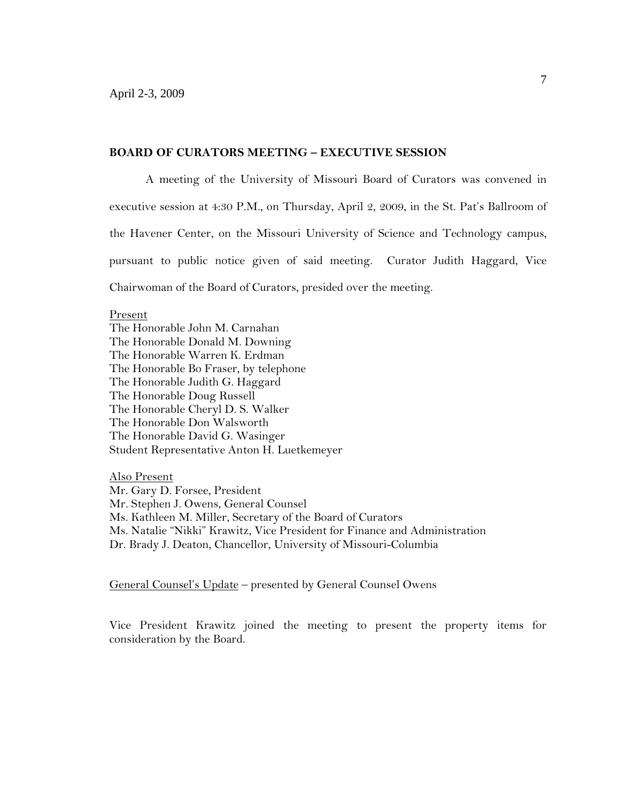## **BOARD OF CURATORS MEETING – EXECUTIVE SESSION**

A meeting of the University of Missouri Board of Curators was convened in executive session at 4:30 P.M., on Thursday, April 2, 2009, in the St. Pat's Ballroom of the Havener Center, on the Missouri University of Science and Technology campus, pursuant to public notice given of said meeting. Curator Judith Haggard, Vice Chairwoman of the Board of Curators, presided over the meeting.

#### Present

The Honorable John M. Carnahan The Honorable Donald M. Downing The Honorable Warren K. Erdman The Honorable Bo Fraser, by telephone The Honorable Judith G. Haggard The Honorable Doug Russell The Honorable Cheryl D. S. Walker The Honorable Don Walsworth The Honorable David G. Wasinger Student Representative Anton H. Luetkemeyer

Also Present

Mr. Gary D. Forsee, President Mr. Stephen J. Owens, General Counsel Ms. Kathleen M. Miller, Secretary of the Board of Curators Ms. Natalie "Nikki" Krawitz, Vice President for Finance and Administration Dr. Brady J. Deaton, Chancellor, University of Missouri-Columbia

General Counsel's Update – presented by General Counsel Owens

Vice President Krawitz joined the meeting to present the property items for consideration by the Board.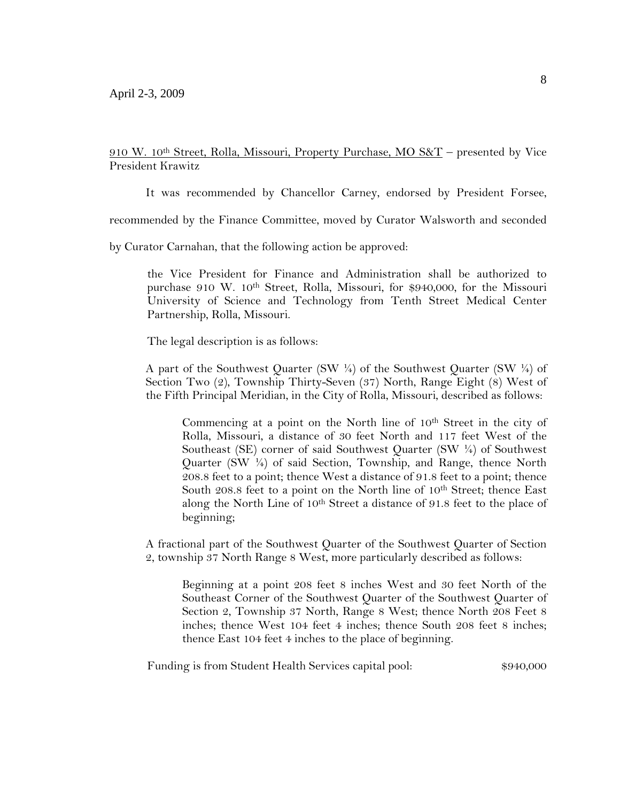910 W. 10th Street, Rolla, Missouri, Property Purchase, MO S&T – presented by Vice President Krawitz

It was recommended by Chancellor Carney, endorsed by President Forsee,

recommended by the Finance Committee, moved by Curator Walsworth and seconded

by Curator Carnahan, that the following action be approved:

the Vice President for Finance and Administration shall be authorized to purchase 910 W. 10th Street, Rolla, Missouri, for \$940,000, for the Missouri University of Science and Technology from Tenth Street Medical Center Partnership, Rolla, Missouri.

The legal description is as follows:

A part of the Southwest Quarter (SW  $\frac{1}{4}$ ) of the Southwest Quarter (SW  $\frac{1}{4}$ ) of Section Two (2), Township Thirty-Seven (37) North, Range Eight (8) West of the Fifth Principal Meridian, in the City of Rolla, Missouri, described as follows:

Commencing at a point on the North line of 10<sup>th</sup> Street in the city of Rolla, Missouri, a distance of 30 feet North and 117 feet West of the Southeast (SE) corner of said Southwest Quarter (SW ¼) of Southwest Quarter (SW ¼) of said Section, Township, and Range, thence North 208.8 feet to a point; thence West a distance of 91.8 feet to a point; thence South 208.8 feet to a point on the North line of 10<sup>th</sup> Street; thence East along the North Line of 10<sup>th</sup> Street a distance of 91.8 feet to the place of beginning;

A fractional part of the Southwest Quarter of the Southwest Quarter of Section 2, township 37 North Range 8 West, more particularly described as follows:

Beginning at a point 208 feet 8 inches West and 30 feet North of the Southeast Corner of the Southwest Quarter of the Southwest Quarter of Section 2, Township 37 North, Range 8 West; thence North 208 Feet 8 inches; thence West 104 feet 4 inches; thence South 208 feet 8 inches; thence East 104 feet 4 inches to the place of beginning.

Funding is from Student Health Services capital pool:  $$940,000$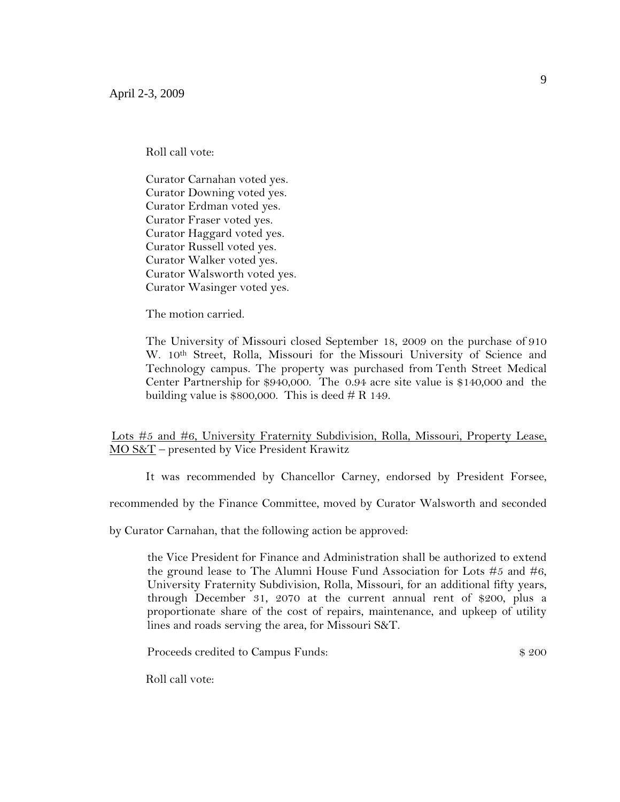Roll call vote:

Curator Carnahan voted yes. Curator Downing voted yes. Curator Erdman voted yes. Curator Fraser voted yes. Curator Haggard voted yes. Curator Russell voted yes. Curator Walker voted yes. Curator Walsworth voted yes. Curator Wasinger voted yes.

The motion carried.

The University of Missouri closed September 18, 2009 on the purchase of 910 W. 10<sup>th</sup> Street, Rolla, Missouri for the Missouri University of Science and Technology campus. The property was purchased from Tenth Street Medical Center Partnership for \$940,000. The 0.94 acre site value is \$140,000 and the building value is  $$800,000$ . This is deed # R 149.

Lots #5 and #6, University Fraternity Subdivision, Rolla, Missouri, Property Lease, MO S&T – presented by Vice President Krawitz

It was recommended by Chancellor Carney, endorsed by President Forsee,

recommended by the Finance Committee, moved by Curator Walsworth and seconded

by Curator Carnahan, that the following action be approved:

the Vice President for Finance and Administration shall be authorized to extend the ground lease to The Alumni House Fund Association for Lots #5 and #6, University Fraternity Subdivision, Rolla, Missouri, for an additional fifty years, through December 31, 2070 at the current annual rent of \$200, plus a proportionate share of the cost of repairs, maintenance, and upkeep of utility lines and roads serving the area, for Missouri S&T.

Proceeds credited to Campus Funds:  $$200$ 

Roll call vote: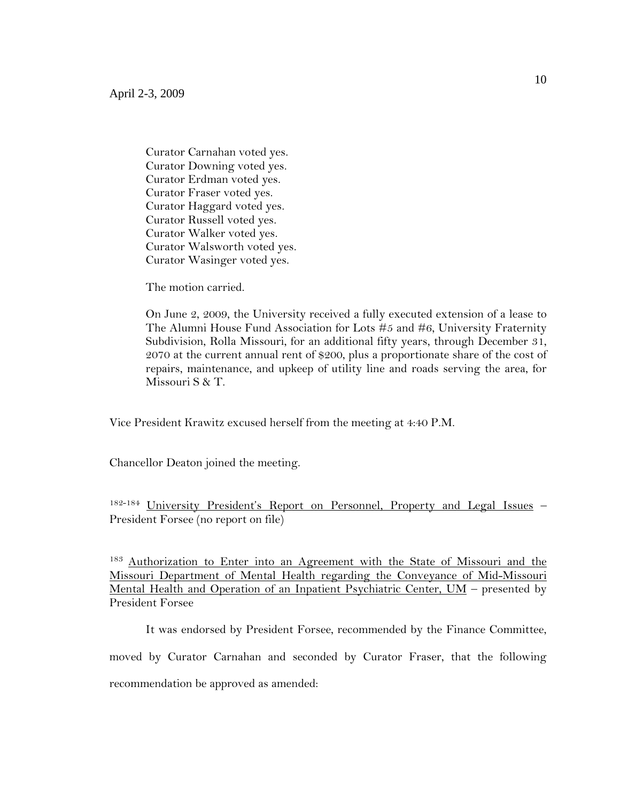Curator Carnahan voted yes. Curator Downing voted yes. Curator Erdman voted yes. Curator Fraser voted yes. Curator Haggard voted yes. Curator Russell voted yes. Curator Walker voted yes. Curator Walsworth voted yes. Curator Wasinger voted yes.

The motion carried.

On June 2, 2009, the University received a fully executed extension of a lease to The Alumni House Fund Association for Lots #5 and #6, University Fraternity Subdivision, Rolla Missouri, for an additional fifty years, through December 31, 2070 at the current annual rent of \$200, plus a proportionate share of the cost of repairs, maintenance, and upkeep of utility line and roads serving the area, for Missouri S & T.

Vice President Krawitz excused herself from the meeting at 4:40 P.M.

Chancellor Deaton joined the meeting.

182-184 University President's Report on Personnel, Property and Legal Issues – President Forsee (no report on file)

<sup>183</sup> Authorization to Enter into an Agreement with the State of Missouri and the Missouri Department of Mental Health regarding the Conveyance of Mid-Missouri Mental Health and Operation of an Inpatient Psychiatric Center, UM - presented by President Forsee

It was endorsed by President Forsee, recommended by the Finance Committee, moved by Curator Carnahan and seconded by Curator Fraser, that the following recommendation be approved as amended: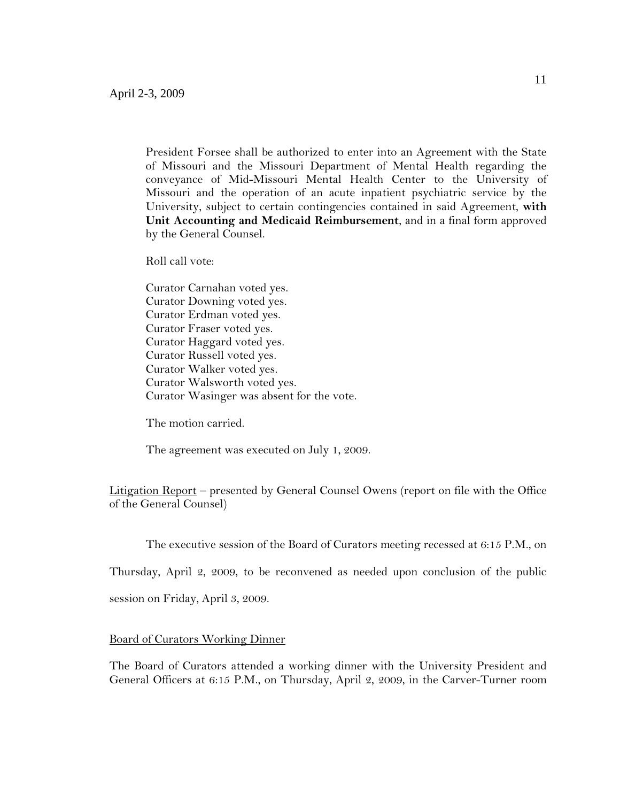President Forsee shall be authorized to enter into an Agreement with the State of Missouri and the Missouri Department of Mental Health regarding the conveyance of Mid-Missouri Mental Health Center to the University of Missouri and the operation of an acute inpatient psychiatric service by the University, subject to certain contingencies contained in said Agreement, **with Unit Accounting and Medicaid Reimbursement**, and in a final form approved by the General Counsel.

Roll call vote:

Curator Carnahan voted yes. Curator Downing voted yes. Curator Erdman voted yes. Curator Fraser voted yes. Curator Haggard voted yes. Curator Russell voted yes. Curator Walker voted yes. Curator Walsworth voted yes. Curator Wasinger was absent for the vote.

The motion carried.

The agreement was executed on July 1, 2009.

Litigation Report – presented by General Counsel Owens (report on file with the Office of the General Counsel)

The executive session of the Board of Curators meeting recessed at 6:15 P.M., on

Thursday, April 2, 2009, to be reconvened as needed upon conclusion of the public

session on Friday, April 3, 2009.

#### **Board of Curators Working Dinner**

The Board of Curators attended a working dinner with the University President and General Officers at 6:15 P.M., on Thursday, April 2, 2009, in the Carver-Turner room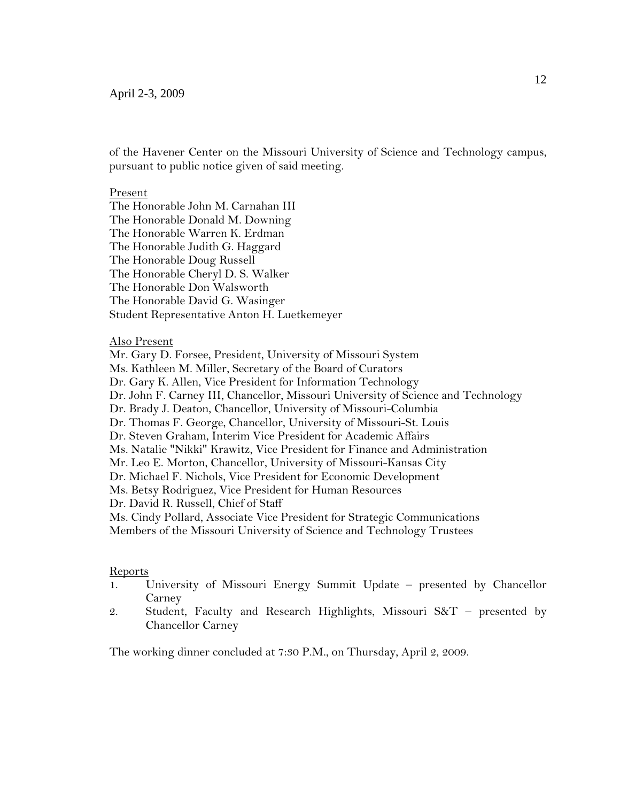of the Havener Center on the Missouri University of Science and Technology campus, pursuant to public notice given of said meeting.

#### Present

The Honorable John M. Carnahan III The Honorable Donald M. Downing The Honorable Warren K. Erdman The Honorable Judith G. Haggard The Honorable Doug Russell The Honorable Cheryl D. S. Walker The Honorable Don Walsworth The Honorable David G. Wasinger Student Representative Anton H. Luetkemeyer

#### Also Present

Mr. Gary D. Forsee, President, University of Missouri System Ms. Kathleen M. Miller, Secretary of the Board of Curators Dr. Gary K. Allen, Vice President for Information Technology Dr. John F. Carney III, Chancellor, Missouri University of Science and Technology Dr. Brady J. Deaton, Chancellor, University of Missouri-Columbia Dr. Thomas F. George, Chancellor, University of Missouri-St. Louis Dr. Steven Graham, Interim Vice President for Academic Affairs Ms. Natalie "Nikki" Krawitz, Vice President for Finance and Administration Mr. Leo E. Morton, Chancellor, University of Missouri-Kansas City Dr. Michael F. Nichols, Vice President for Economic Development Ms. Betsy Rodriguez, Vice President for Human Resources Dr. David R. Russell, Chief of Staff Ms. Cindy Pollard, Associate Vice President for Strategic Communications Members of the Missouri University of Science and Technology Trustees

#### Reports

- 1. University of Missouri Energy Summit Update presented by Chancellor Carney
- 2. Student, Faculty and Research Highlights, Missouri  $S\&T$  presented by Chancellor Carney

The working dinner concluded at 7:30 P.M., on Thursday, April 2, 2009.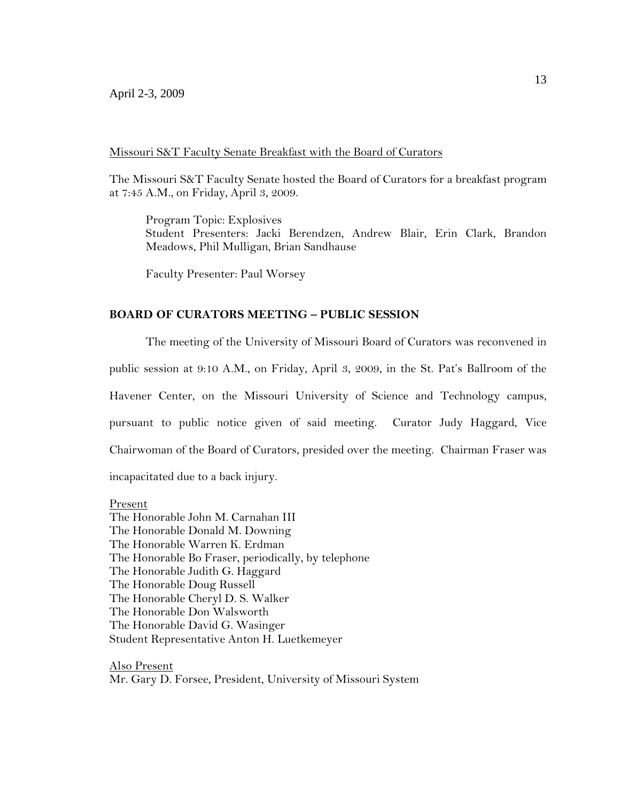The Missouri S&T Faculty Senate hosted the Board of Curators for a breakfast program at 7:45 A.M., on Friday, April 3, 2009.

Program Topic: Explosives Student Presenters: Jacki Berendzen, Andrew Blair, Erin Clark, Brandon Meadows, Phil Mulligan, Brian Sandhause

Faculty Presenter: Paul Worsey

## **BOARD OF CURATORS MEETING – PUBLIC SESSION**

The meeting of the University of Missouri Board of Curators was reconvened in public session at 9:10 A.M., on Friday, April 3, 2009, in the St. Pat's Ballroom of the Havener Center, on the Missouri University of Science and Technology campus, pursuant to public notice given of said meeting. Curator Judy Haggard, Vice Chairwoman of the Board of Curators, presided over the meeting. Chairman Fraser was incapacitated due to a back injury.

Present The Honorable John M. Carnahan III The Honorable Donald M. Downing The Honorable Warren K. Erdman The Honorable Bo Fraser, periodically, by telephone The Honorable Judith G. Haggard The Honorable Doug Russell The Honorable Cheryl D. S. Walker The Honorable Don Walsworth The Honorable David G. Wasinger Student Representative Anton H. Luetkemeyer

Also Present Mr. Gary D. Forsee, President, University of Missouri System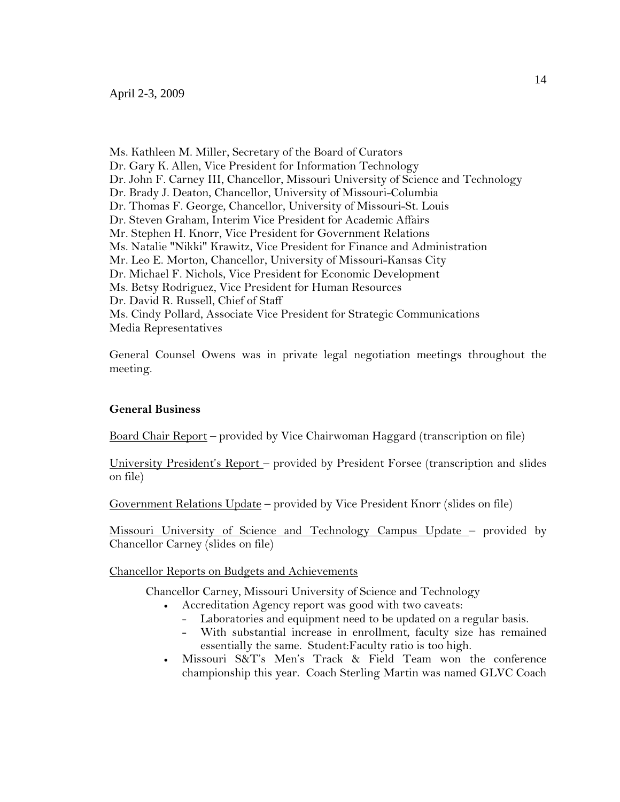Ms. Kathleen M. Miller, Secretary of the Board of Curators Dr. Gary K. Allen, Vice President for Information Technology Dr. John F. Carney III, Chancellor, Missouri University of Science and Technology Dr. Brady J. Deaton, Chancellor, University of Missouri-Columbia Dr. Thomas F. George, Chancellor, University of Missouri-St. Louis Dr. Steven Graham, Interim Vice President for Academic Affairs Mr. Stephen H. Knorr, Vice President for Government Relations Ms. Natalie "Nikki" Krawitz, Vice President for Finance and Administration Mr. Leo E. Morton, Chancellor, University of Missouri-Kansas City Dr. Michael F. Nichols, Vice President for Economic Development Ms. Betsy Rodriguez, Vice President for Human Resources Dr. David R. Russell, Chief of Staff Ms. Cindy Pollard, Associate Vice President for Strategic Communications Media Representatives

General Counsel Owens was in private legal negotiation meetings throughout the meeting.

### **General Business**

Board Chair Report – provided by Vice Chairwoman Haggard (transcription on file)

University President's Report – provided by President Forsee (transcription and slides on file)

Government Relations Update – provided by Vice President Knorr (slides on file)

Missouri University of Science and Technology Campus Update - provided by Chancellor Carney (slides on file)

Chancellor Reports on Budgets and Achievements

Chancellor Carney, Missouri University of Science and Technology

- Accreditation Agency report was good with two caveats:
	- Laboratories and equipment need to be updated on a regular basis.
	- With substantial increase in enrollment, faculty size has remained essentially the same. Student:Faculty ratio is too high.
- Missouri S&T's Men's Track & Field Team won the conference championship this year. Coach Sterling Martin was named GLVC Coach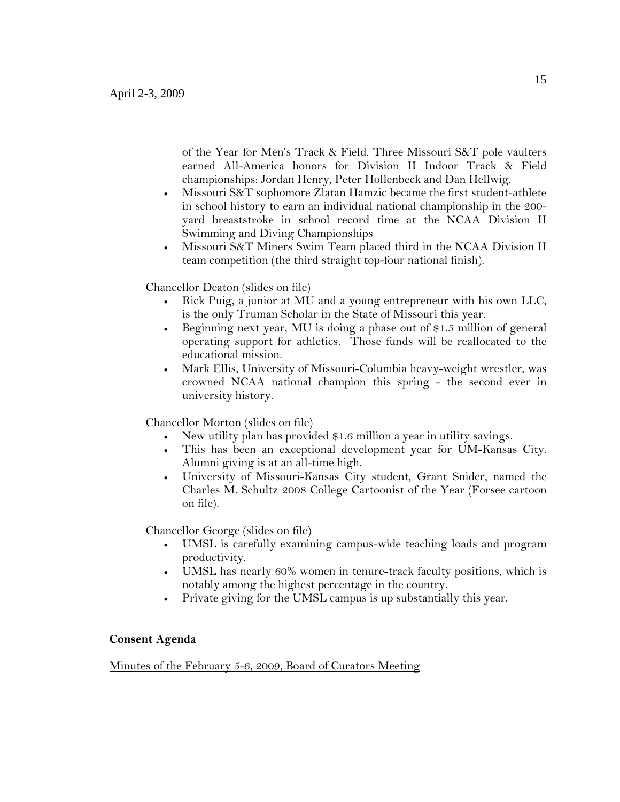of the Year for Men's Track & Field. Three Missouri S&T pole vaulters earned All-America honors for Division II Indoor Track & Field championships: Jordan Henry, Peter Hollenbeck and Dan Hellwig.

- Missouri S&T sophomore Zlatan Hamzic became the first student-athlete in school history to earn an individual national championship in the 200 yard breaststroke in school record time at the NCAA Division II Swimming and Diving Championships
- Missouri S&T Miners Swim Team placed third in the NCAA Division II team competition (the third straight top-four national finish).

Chancellor Deaton (slides on file)

- Rick Puig, a junior at MU and a young entrepreneur with his own LLC, is the only Truman Scholar in the State of Missouri this year.
- Beginning next year, MU is doing a phase out of \$1.5 million of general operating support for athletics. Those funds will be reallocated to the educational mission.
- Mark Ellis, University of Missouri-Columbia heavy-weight wrestler, was crowned NCAA national champion this spring - the second ever in university history.

Chancellor Morton (slides on file)

- New utility plan has provided \$1.6 million a year in utility savings.
- This has been an exceptional development year for UM-Kansas City. Alumni giving is at an all-time high.
- University of Missouri-Kansas City student, Grant Snider, named the Charles M. Schultz 2008 College Cartoonist of the Year (Forsee cartoon on file).

Chancellor George (slides on file)

- UMSL is carefully examining campus-wide teaching loads and program productivity.
- UMSL has nearly 60% women in tenure-track faculty positions, which is notably among the highest percentage in the country.
- Private giving for the UMSL campus is up substantially this year.

## **Consent Agenda**

Minutes of the February 5-6, 2009, Board of Curators Meeting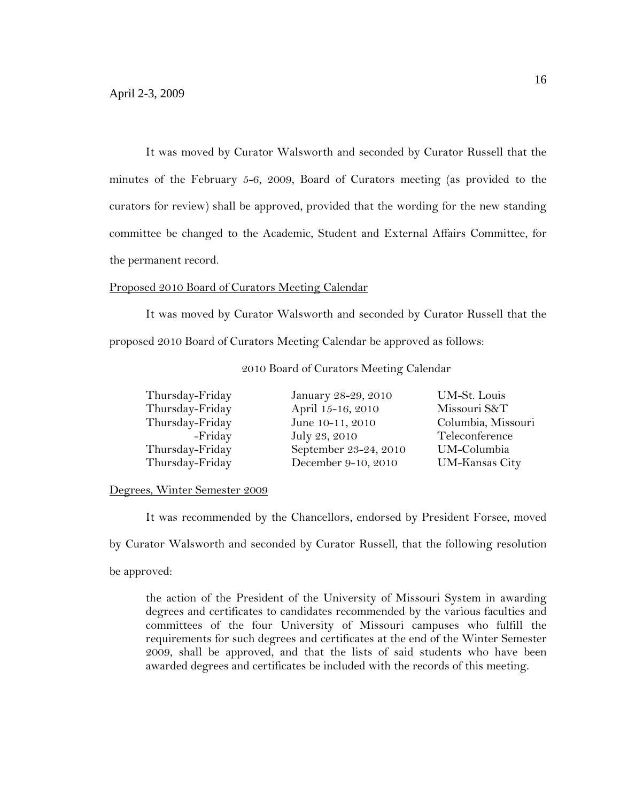It was moved by Curator Walsworth and seconded by Curator Russell that the minutes of the February 5-6, 2009, Board of Curators meeting (as provided to the curators for review) shall be approved, provided that the wording for the new standing committee be changed to the Academic, Student and External Affairs Committee, for the permanent record.

## Proposed 2010 Board of Curators Meeting Calendar

It was moved by Curator Walsworth and seconded by Curator Russell that the proposed 2010 Board of Curators Meeting Calendar be approved as follows:

| Thursday-Friday | January 28-29, 2010   | UM-St. Louis       |
|-----------------|-----------------------|--------------------|
| Thursday-Friday | April 15-16, 2010     | Missouri S&T       |
| Thursday-Friday | June 10-11, 2010      | Columbia, Missouri |
| -Friday         | July 23, 2010         | Teleconference     |
| Thursday-Friday | September 23-24, 2010 | UM-Columbia        |
| Thursday-Friday | December 9-10, 2010   | UM-Kansas City     |

## 2010 Board of Curators Meeting Calendar

## Degrees, Winter Semester 2009

It was recommended by the Chancellors, endorsed by President Forsee, moved by Curator Walsworth and seconded by Curator Russell, that the following resolution be approved:

the action of the President of the University of Missouri System in awarding degrees and certificates to candidates recommended by the various faculties and committees of the four University of Missouri campuses who fulfill the requirements for such degrees and certificates at the end of the Winter Semester 2009, shall be approved, and that the lists of said students who have been awarded degrees and certificates be included with the records of this meeting.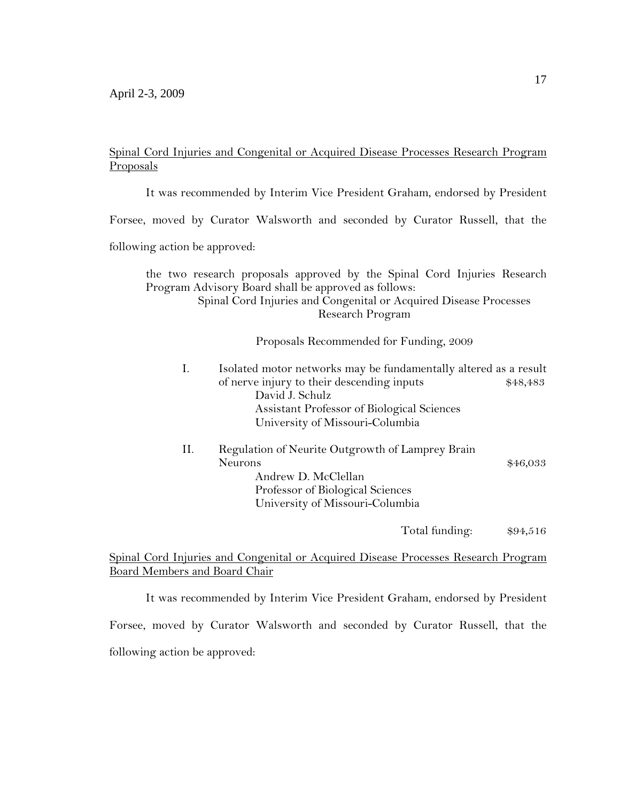# Spinal Cord Injuries and Congenital or Acquired Disease Processes Research Program Proposals

It was recommended by Interim Vice President Graham, endorsed by President

Forsee, moved by Curator Walsworth and seconded by Curator Russell, that the

following action be approved:

the two research proposals approved by the Spinal Cord Injuries Research Program Advisory Board shall be approved as follows: Spinal Cord Injuries and Congenital or Acquired Disease Processes

Research Program

Proposals Recommended for Funding, 2009

- I. Isolated motor networks may be fundamentally altered as a result of nerve injury to their descending inputs  $$48,483$ David J. Schulz Assistant Professor of Biological Sciences University of Missouri-Columbia
- II. Regulation of Neurite Outgrowth of Lamprey Brain Neurons  $$46,033$ Andrew D. McClellan Professor of Biological Sciences University of Missouri-Columbia

Total funding: \$94,516

## Spinal Cord Injuries and Congenital or Acquired Disease Processes Research Program Board Members and Board Chair

It was recommended by Interim Vice President Graham, endorsed by President

Forsee, moved by Curator Walsworth and seconded by Curator Russell, that the following action be approved: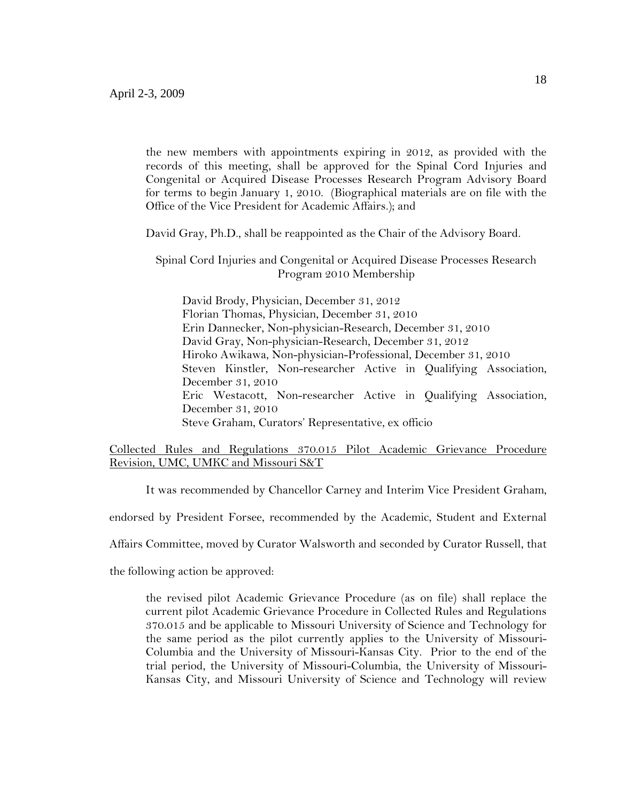the new members with appointments expiring in 2012, as provided with the records of this meeting, shall be approved for the Spinal Cord Injuries and Congenital or Acquired Disease Processes Research Program Advisory Board for terms to begin January 1, 2010. (Biographical materials are on file with the Office of the Vice President for Academic Affairs.); and

David Gray, Ph.D., shall be reappointed as the Chair of the Advisory Board.

Spinal Cord Injuries and Congenital or Acquired Disease Processes Research Program 2010 Membership

David Brody, Physician, December 31, 2012 Florian Thomas, Physician, December 31, 2010 Erin Dannecker, Non-physician-Research, December 31, 2010 David Gray, Non-physician-Research, December 31, 2012 Hiroko Awikawa, Non-physician-Professional, December 31, 2010 Steven Kinstler, Non-researcher Active in Qualifying Association, December 31, 2010 Eric Westacott, Non-researcher Active in Qualifying Association, December 31, 2010 Steve Graham, Curators' Representative, ex officio

## Collected Rules and Regulations 370.015 Pilot Academic Grievance Procedure Revision, UMC, UMKC and Missouri S&T

It was recommended by Chancellor Carney and Interim Vice President Graham,

endorsed by President Forsee, recommended by the Academic, Student and External

Affairs Committee, moved by Curator Walsworth and seconded by Curator Russell, that

the following action be approved:

the revised pilot Academic Grievance Procedure (as on file) shall replace the current pilot Academic Grievance Procedure in Collected Rules and Regulations 370.015 and be applicable to Missouri University of Science and Technology for the same period as the pilot currently applies to the University of Missouri-Columbia and the University of Missouri-Kansas City. Prior to the end of the trial period, the University of Missouri-Columbia, the University of Missouri-Kansas City, and Missouri University of Science and Technology will review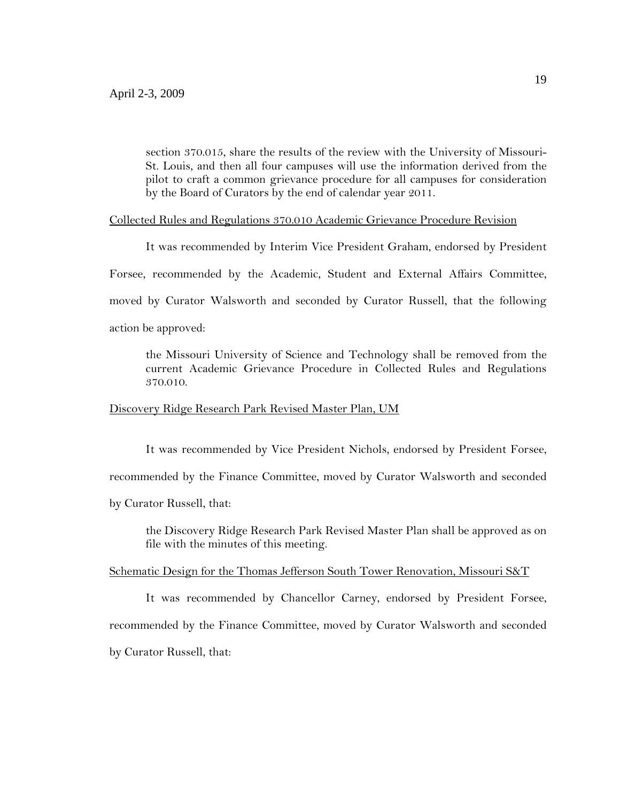section 370.015, share the results of the review with the University of Missouri-St. Louis, and then all four campuses will use the information derived from the pilot to craft a common grievance procedure for all campuses for consideration by the Board of Curators by the end of calendar year 2011.

### Collected Rules and Regulations 370.010 Academic Grievance Procedure Revision

It was recommended by Interim Vice President Graham, endorsed by President

Forsee, recommended by the Academic, Student and External Affairs Committee,

moved by Curator Walsworth and seconded by Curator Russell, that the following

action be approved:

the Missouri University of Science and Technology shall be removed from the current Academic Grievance Procedure in Collected Rules and Regulations 370.010.

#### Discovery Ridge Research Park Revised Master Plan, UM

It was recommended by Vice President Nichols, endorsed by President Forsee, recommended by the Finance Committee, moved by Curator Walsworth and seconded by Curator Russell, that:

the Discovery Ridge Research Park Revised Master Plan shall be approved as on file with the minutes of this meeting.

## Schematic Design for the Thomas Jefferson South Tower Renovation, Missouri S&T

It was recommended by Chancellor Carney, endorsed by President Forsee, recommended by the Finance Committee, moved by Curator Walsworth and seconded by Curator Russell, that: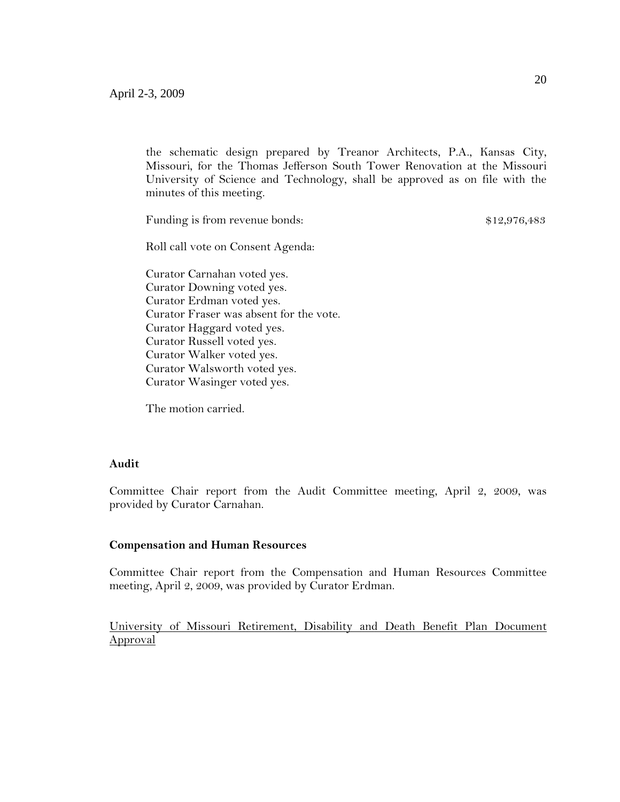the schematic design prepared by Treanor Architects, P.A., Kansas City, Missouri, for the Thomas Jefferson South Tower Renovation at the Missouri University of Science and Technology, shall be approved as on file with the minutes of this meeting.

Funding is from revenue bonds:  $$12,976,483$ 

Roll call vote on Consent Agenda:

Curator Carnahan voted yes. Curator Downing voted yes. Curator Erdman voted yes. Curator Fraser was absent for the vote. Curator Haggard voted yes. Curator Russell voted yes. Curator Walker voted yes. Curator Walsworth voted yes. Curator Wasinger voted yes.

The motion carried.

## **Audit**

Committee Chair report from the Audit Committee meeting, April 2, 2009, was provided by Curator Carnahan.

### **Compensation and Human Resources**

Committee Chair report from the Compensation and Human Resources Committee meeting, April 2, 2009, was provided by Curator Erdman.

University of Missouri Retirement, Disability and Death Benefit Plan Document Approval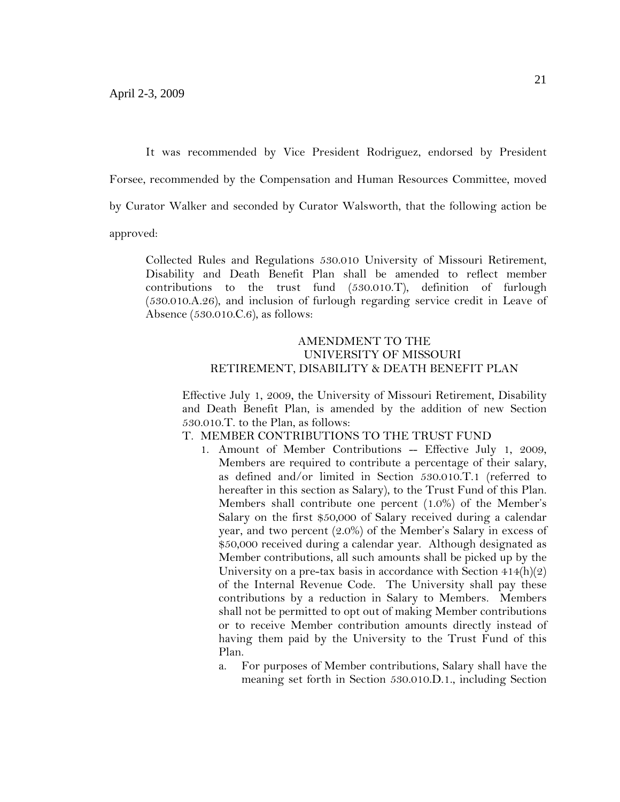It was recommended by Vice President Rodriguez, endorsed by President

Forsee, recommended by the Compensation and Human Resources Committee, moved

by Curator Walker and seconded by Curator Walsworth, that the following action be

approved:

Collected Rules and Regulations 530.010 University of Missouri Retirement, Disability and Death Benefit Plan shall be amended to reflect member contributions to the trust fund (530.010.T), definition of furlough (530.010.A.26), and inclusion of furlough regarding service credit in Leave of Absence (530.010.C.6), as follows:

## AMENDMENT TO THE UNIVERSITY OF MISSOURI RETIREMENT, DISABILITY & DEATH BENEFIT PLAN

Effective July 1, 2009, the University of Missouri Retirement, Disability and Death Benefit Plan, is amended by the addition of new Section 530.010.T. to the Plan, as follows:

T. MEMBER CONTRIBUTIONS TO THE TRUST FUND

- 1. Amount of Member Contributions -- Effective July 1, 2009, Members are required to contribute a percentage of their salary, as defined and/or limited in Section 530.010.T.1 (referred to hereafter in this section as Salary), to the Trust Fund of this Plan. Members shall contribute one percent (1.0%) of the Member's Salary on the first \$50,000 of Salary received during a calendar year, and two percent (2.0%) of the Member's Salary in excess of \$50,000 received during a calendar year. Although designated as Member contributions, all such amounts shall be picked up by the University on a pre-tax basis in accordance with Section  $414(h)(2)$ of the Internal Revenue Code. The University shall pay these contributions by a reduction in Salary to Members. Members shall not be permitted to opt out of making Member contributions or to receive Member contribution amounts directly instead of having them paid by the University to the Trust Fund of this Plan.
	- a. For purposes of Member contributions, Salary shall have the meaning set forth in Section 530.010.D.1., including Section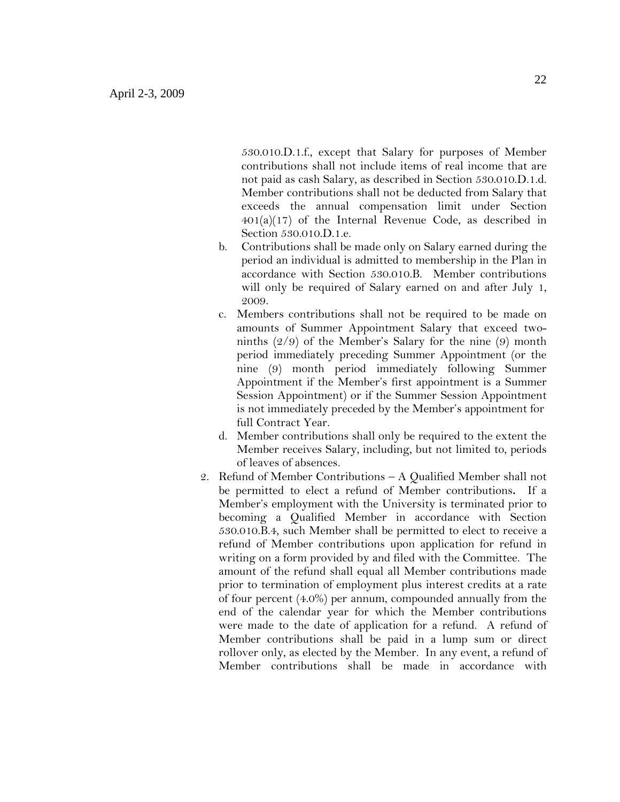530.010.D.1.f., except that Salary for purposes of Member contributions shall not include items of real income that are not paid as cash Salary, as described in Section 530.010.D.1.d. Member contributions shall not be deducted from Salary that exceeds the annual compensation limit under Section  $401(a)(17)$  of the Internal Revenue Code, as described in Section 530.010.D.1.e.

- b. Contributions shall be made only on Salary earned during the period an individual is admitted to membership in the Plan in accordance with Section 530.010.B. Member contributions will only be required of Salary earned on and after July 1, 2009.
- c. Members contributions shall not be required to be made on amounts of Summer Appointment Salary that exceed twoninths (2/9) of the Member's Salary for the nine (9) month period immediately preceding Summer Appointment (or the nine (9) month period immediately following Summer Appointment if the Member's first appointment is a Summer Session Appointment) or if the Summer Session Appointment is not immediately preceded by the Member's appointment for full Contract Year.
- d. Member contributions shall only be required to the extent the Member receives Salary, including, but not limited to, periods of leaves of absences.
- 2. Refund of Member Contributions A Qualified Member shall not be permitted to elect a refund of Member contributions**.** If a Member's employment with the University is terminated prior to becoming a Qualified Member in accordance with Section 530.010.B.4, such Member shall be permitted to elect to receive a refund of Member contributions upon application for refund in writing on a form provided by and filed with the Committee. The amount of the refund shall equal all Member contributions made prior to termination of employment plus interest credits at a rate of four percent (4.0%) per annum, compounded annually from the end of the calendar year for which the Member contributions were made to the date of application for a refund. A refund of Member contributions shall be paid in a lump sum or direct rollover only, as elected by the Member. In any event, a refund of Member contributions shall be made in accordance with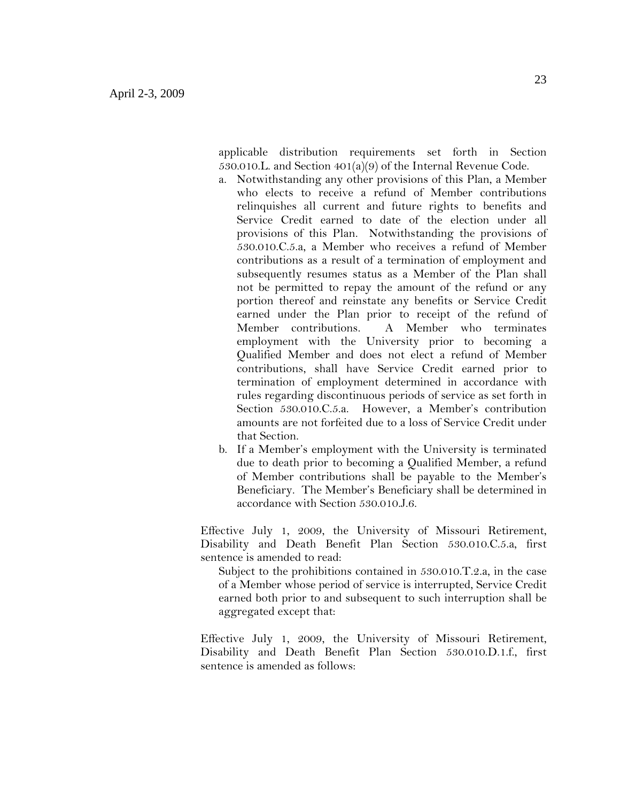applicable distribution requirements set forth in Section 530.010.L. and Section 401(a)(9) of the Internal Revenue Code.

- a. Notwithstanding any other provisions of this Plan, a Member who elects to receive a refund of Member contributions relinquishes all current and future rights to benefits and Service Credit earned to date of the election under all provisions of this Plan. Notwithstanding the provisions of 530.010.C.5.a, a Member who receives a refund of Member contributions as a result of a termination of employment and subsequently resumes status as a Member of the Plan shall not be permitted to repay the amount of the refund or any portion thereof and reinstate any benefits or Service Credit earned under the Plan prior to receipt of the refund of Member contributions. A Member who terminates employment with the University prior to becoming a Qualified Member and does not elect a refund of Member contributions, shall have Service Credit earned prior to termination of employment determined in accordance with rules regarding discontinuous periods of service as set forth in Section 530.010.C.5.a. However, a Member's contribution amounts are not forfeited due to a loss of Service Credit under that Section.
- b. If a Member's employment with the University is terminated due to death prior to becoming a Qualified Member, a refund of Member contributions shall be payable to the Member's Beneficiary. The Member's Beneficiary shall be determined in accordance with Section 530.010.J.6.

Effective July 1, 2009, the University of Missouri Retirement, Disability and Death Benefit Plan Section 530.010.C.5.a, first sentence is amended to read:

Subject to the prohibitions contained in 530.010.T.2.a, in the case of a Member whose period of service is interrupted, Service Credit earned both prior to and subsequent to such interruption shall be aggregated except that:

Effective July 1, 2009, the University of Missouri Retirement, Disability and Death Benefit Plan Section 530.010.D.1.f., first sentence is amended as follows: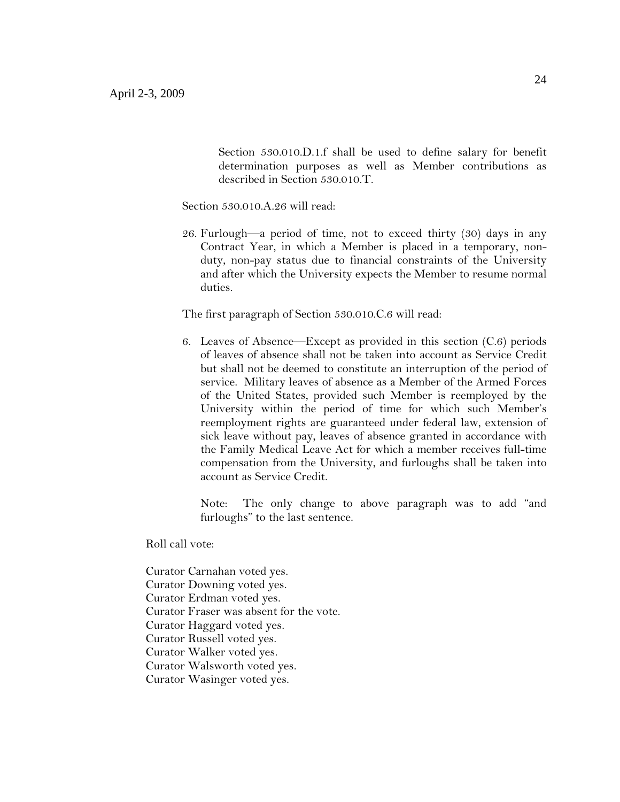Section 530.010.D.1.f shall be used to define salary for benefit determination purposes as well as Member contributions as described in Section 530.010.T.

Section 530.010.A.26 will read:

26. Furlough—a period of time, not to exceed thirty (30) days in any Contract Year, in which a Member is placed in a temporary, nonduty, non-pay status due to financial constraints of the University and after which the University expects the Member to resume normal duties.

The first paragraph of Section 530.010.C.6 will read:

6. Leaves of Absence—Except as provided in this section (C.6) periods of leaves of absence shall not be taken into account as Service Credit but shall not be deemed to constitute an interruption of the period of service. Military leaves of absence as a Member of the Armed Forces of the United States, provided such Member is reemployed by the University within the period of time for which such Member's reemployment rights are guaranteed under federal law, extension of sick leave without pay, leaves of absence granted in accordance with the Family Medical Leave Act for which a member receives full-time compensation from the University, and furloughs shall be taken into account as Service Credit.

Note: The only change to above paragraph was to add "and furloughs" to the last sentence.

Roll call vote:

Curator Carnahan voted yes. Curator Downing voted yes. Curator Erdman voted yes. Curator Fraser was absent for the vote. Curator Haggard voted yes. Curator Russell voted yes. Curator Walker voted yes. Curator Walsworth voted yes. Curator Wasinger voted yes.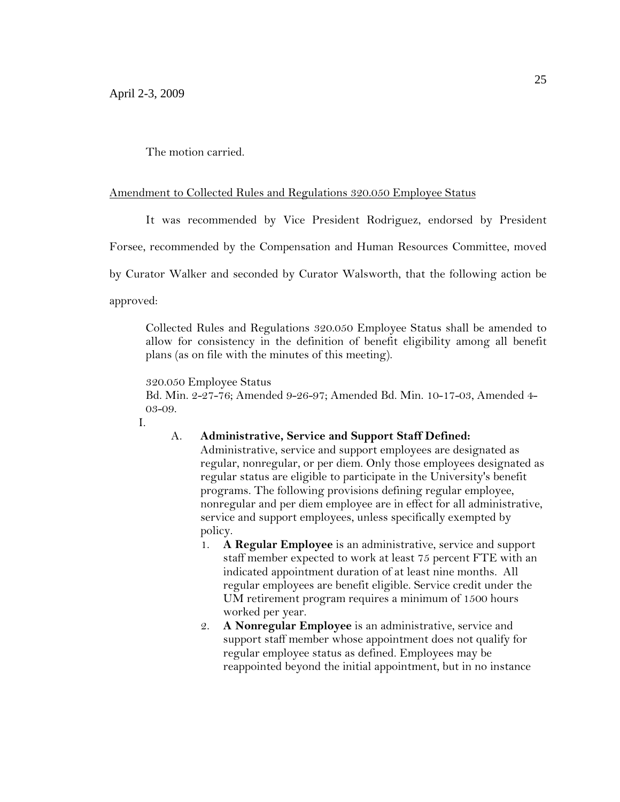The motion carried.

## Amendment to Collected Rules and Regulations 320.050 Employee Status

It was recommended by Vice President Rodriguez, endorsed by President

Forsee, recommended by the Compensation and Human Resources Committee, moved

by Curator Walker and seconded by Curator Walsworth, that the following action be

approved:

Collected Rules and Regulations 320.050 Employee Status shall be amended to allow for consistency in the definition of benefit eligibility among all benefit plans (as on file with the minutes of this meeting).

#### 320.050 Employee Status

Bd. Min. 2-27-76; Amended 9-26-97; Amended Bd. Min. 10-17-03, Amended 4- 03-09.

I.

## A. **Administrative, Service and Support Staff Defined:**

- Administrative, service and support employees are designated as regular, nonregular, or per diem. Only those employees designated as regular status are eligible to participate in the University's benefit programs. The following provisions defining regular employee, nonregular and per diem employee are in effect for all administrative, service and support employees, unless specifically exempted by policy.
- 1. **A Regular Employee** is an administrative, service and support staff member expected to work at least 75 percent FTE with an indicated appointment duration of at least nine months. All regular employees are benefit eligible. Service credit under the UM retirement program requires a minimum of 1500 hours worked per year.
- 2. **A Nonregular Employee** is an administrative, service and support staff member whose appointment does not qualify for regular employee status as defined. Employees may be reappointed beyond the initial appointment, but in no instance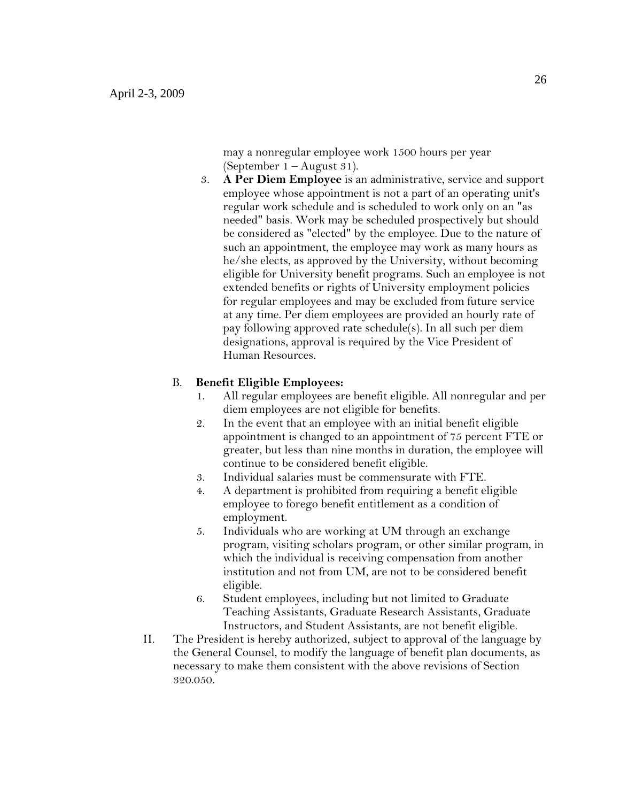may a nonregular employee work 1500 hours per year (September 1 – August 31).

3. **A Per Diem Employee** is an administrative, service and support employee whose appointment is not a part of an operating unit's regular work schedule and is scheduled to work only on an "as needed" basis. Work may be scheduled prospectively but should be considered as "elected" by the employee. Due to the nature of such an appointment, the employee may work as many hours as he/she elects, as approved by the University, without becoming eligible for University benefit programs. Such an employee is not extended benefits or rights of University employment policies for regular employees and may be excluded from future service at any time. Per diem employees are provided an hourly rate of pay following approved rate schedule(s). In all such per diem designations, approval is required by the Vice President of Human Resources.

## B. **Benefit Eligible Employees:**

- 1. All regular employees are benefit eligible. All nonregular and per diem employees are not eligible for benefits.
- 2. In the event that an employee with an initial benefit eligible appointment is changed to an appointment of 75 percent FTE or greater, but less than nine months in duration, the employee will continue to be considered benefit eligible.
- 3. Individual salaries must be commensurate with FTE.
- 4. A department is prohibited from requiring a benefit eligible employee to forego benefit entitlement as a condition of employment.
- 5. Individuals who are working at UM through an exchange program, visiting scholars program, or other similar program, in which the individual is receiving compensation from another institution and not from UM, are not to be considered benefit eligible.
- 6. Student employees, including but not limited to Graduate Teaching Assistants, Graduate Research Assistants, Graduate Instructors, and Student Assistants, are not benefit eligible.
- II. The President is hereby authorized, subject to approval of the language by the General Counsel, to modify the language of benefit plan documents, as necessary to make them consistent with the above revisions of Section 320.050.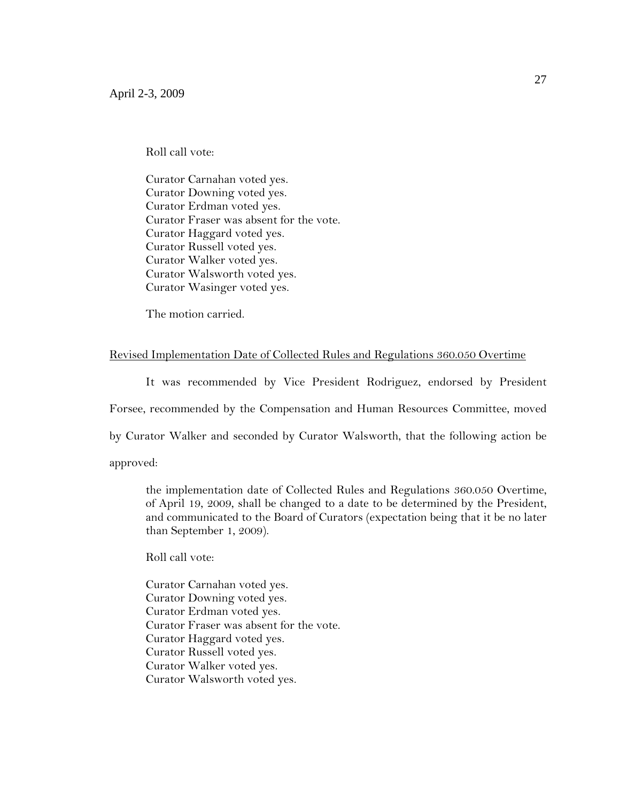Roll call vote:

Curator Carnahan voted yes. Curator Downing voted yes. Curator Erdman voted yes. Curator Fraser was absent for the vote. Curator Haggard voted yes. Curator Russell voted yes. Curator Walker voted yes. Curator Walsworth voted yes. Curator Wasinger voted yes.

The motion carried.

### Revised Implementation Date of Collected Rules and Regulations 360.050 Overtime

It was recommended by Vice President Rodriguez, endorsed by President

Forsee, recommended by the Compensation and Human Resources Committee, moved

by Curator Walker and seconded by Curator Walsworth, that the following action be

approved:

the implementation date of Collected Rules and Regulations 360.050 Overtime, of April 19, 2009, shall be changed to a date to be determined by the President, and communicated to the Board of Curators (expectation being that it be no later than September 1, 2009).

Roll call vote:

Curator Carnahan voted yes. Curator Downing voted yes. Curator Erdman voted yes. Curator Fraser was absent for the vote. Curator Haggard voted yes. Curator Russell voted yes. Curator Walker voted yes. Curator Walsworth voted yes.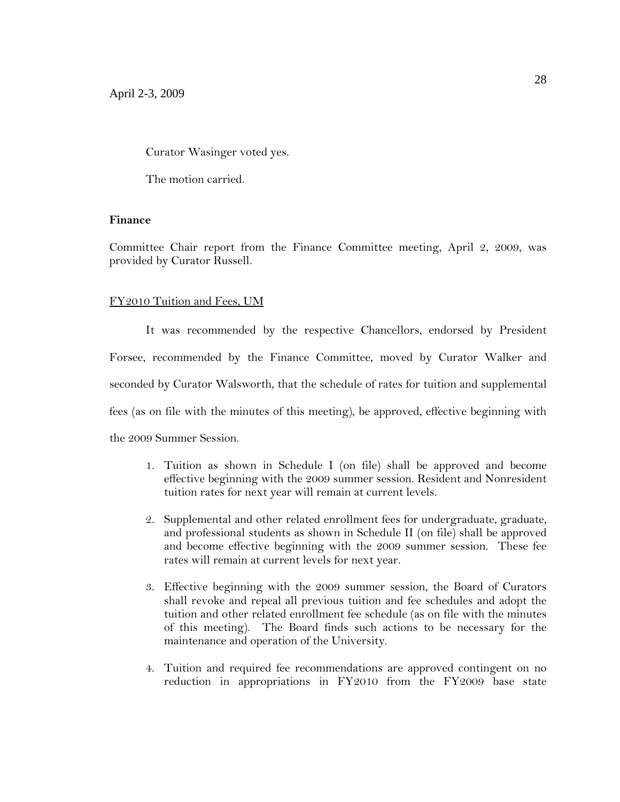Curator Wasinger voted yes.

The motion carried.

## **Finance**

Committee Chair report from the Finance Committee meeting, April 2, 2009, was provided by Curator Russell.

## FY2010 Tuition and Fees, UM

It was recommended by the respective Chancellors, endorsed by President Forsee, recommended by the Finance Committee, moved by Curator Walker and seconded by Curator Walsworth, that the schedule of rates for tuition and supplemental fees (as on file with the minutes of this meeting), be approved, effective beginning with the 2009 Summer Session.

- 1. Tuition as shown in Schedule I (on file) shall be approved and become effective beginning with the 2009 summer session. Resident and Nonresident tuition rates for next year will remain at current levels.
- 2. Supplemental and other related enrollment fees for undergraduate, graduate, and professional students as shown in Schedule II (on file) shall be approved and become effective beginning with the 2009 summer session. These fee rates will remain at current levels for next year.
- 3. Effective beginning with the 2009 summer session, the Board of Curators shall revoke and repeal all previous tuition and fee schedules and adopt the tuition and other related enrollment fee schedule (as on file with the minutes of this meeting). The Board finds such actions to be necessary for the maintenance and operation of the University.
- 4. Tuition and required fee recommendations are approved contingent on no reduction in appropriations in FY2010 from the FY2009 base state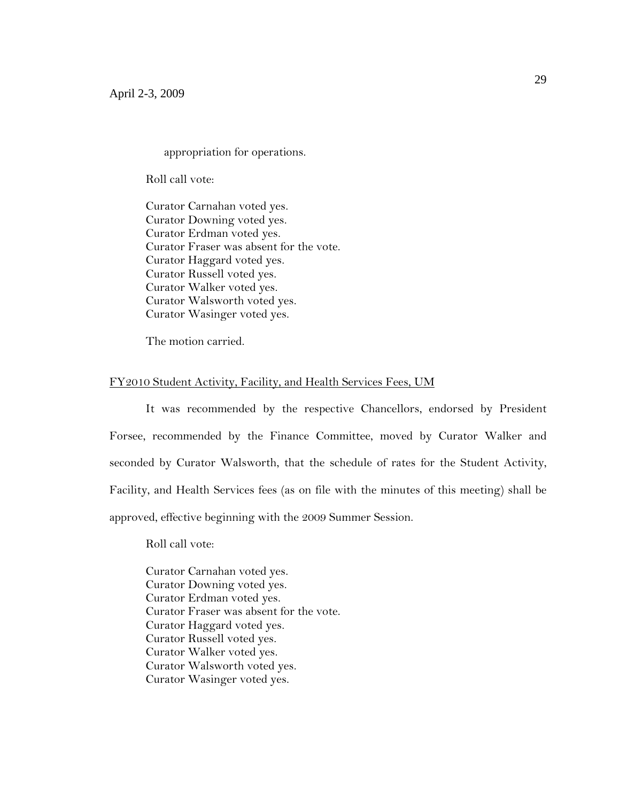appropriation for operations.

Roll call vote:

Curator Carnahan voted yes. Curator Downing voted yes. Curator Erdman voted yes. Curator Fraser was absent for the vote. Curator Haggard voted yes. Curator Russell voted yes. Curator Walker voted yes. Curator Walsworth voted yes. Curator Wasinger voted yes.

The motion carried.

#### FY2010 Student Activity, Facility, and Health Services Fees, UM

It was recommended by the respective Chancellors, endorsed by President Forsee, recommended by the Finance Committee, moved by Curator Walker and seconded by Curator Walsworth, that the schedule of rates for the Student Activity, Facility, and Health Services fees (as on file with the minutes of this meeting) shall be approved, effective beginning with the 2009 Summer Session.

Roll call vote:

Curator Carnahan voted yes. Curator Downing voted yes. Curator Erdman voted yes. Curator Fraser was absent for the vote. Curator Haggard voted yes. Curator Russell voted yes. Curator Walker voted yes. Curator Walsworth voted yes. Curator Wasinger voted yes.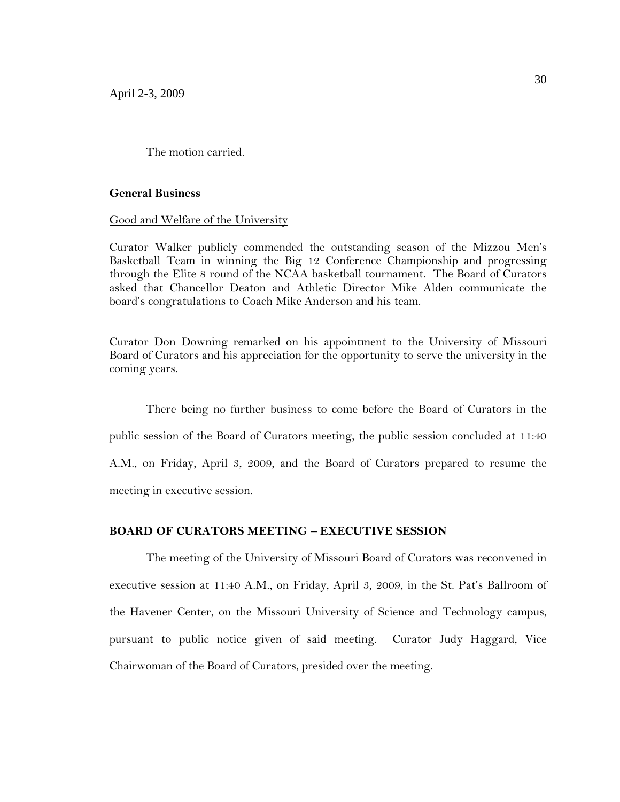The motion carried.

#### **General Business**

Good and Welfare of the University

Curator Walker publicly commended the outstanding season of the Mizzou Men's Basketball Team in winning the Big 12 Conference Championship and progressing through the Elite 8 round of the NCAA basketball tournament. The Board of Curators asked that Chancellor Deaton and Athletic Director Mike Alden communicate the board's congratulations to Coach Mike Anderson and his team.

Curator Don Downing remarked on his appointment to the University of Missouri Board of Curators and his appreciation for the opportunity to serve the university in the coming years.

There being no further business to come before the Board of Curators in the public session of the Board of Curators meeting, the public session concluded at 11:40 A.M., on Friday, April 3, 2009, and the Board of Curators prepared to resume the meeting in executive session.

## **BOARD OF CURATORS MEETING – EXECUTIVE SESSION**

The meeting of the University of Missouri Board of Curators was reconvened in executive session at 11:40 A.M., on Friday, April 3, 2009, in the St. Pat's Ballroom of the Havener Center, on the Missouri University of Science and Technology campus, pursuant to public notice given of said meeting. Curator Judy Haggard, Vice Chairwoman of the Board of Curators, presided over the meeting.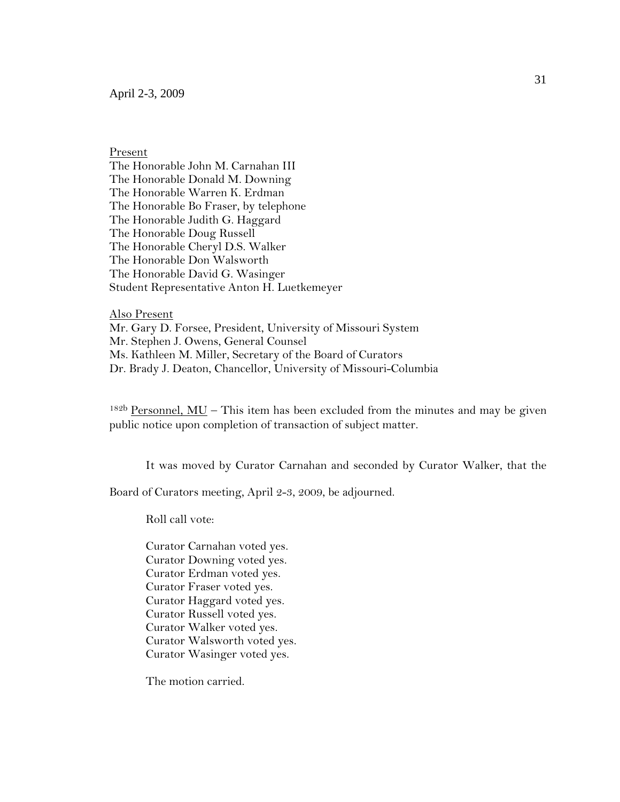Present

The Honorable John M. Carnahan III The Honorable Donald M. Downing The Honorable Warren K. Erdman The Honorable Bo Fraser, by telephone The Honorable Judith G. Haggard The Honorable Doug Russell The Honorable Cheryl D.S. Walker The Honorable Don Walsworth The Honorable David G. Wasinger Student Representative Anton H. Luetkemeyer

Also Present Mr. Gary D. Forsee, President, University of Missouri System Mr. Stephen J. Owens, General Counsel Ms. Kathleen M. Miller, Secretary of the Board of Curators Dr. Brady J. Deaton, Chancellor, University of Missouri-Columbia

 $182<sup>b</sup>$  Personnel, MU – This item has been excluded from the minutes and may be given public notice upon completion of transaction of subject matter.

It was moved by Curator Carnahan and seconded by Curator Walker, that the

Board of Curators meeting, April 2-3, 2009, be adjourned.

Roll call vote:

Curator Carnahan voted yes. Curator Downing voted yes. Curator Erdman voted yes. Curator Fraser voted yes. Curator Haggard voted yes. Curator Russell voted yes. Curator Walker voted yes. Curator Walsworth voted yes. Curator Wasinger voted yes.

The motion carried.